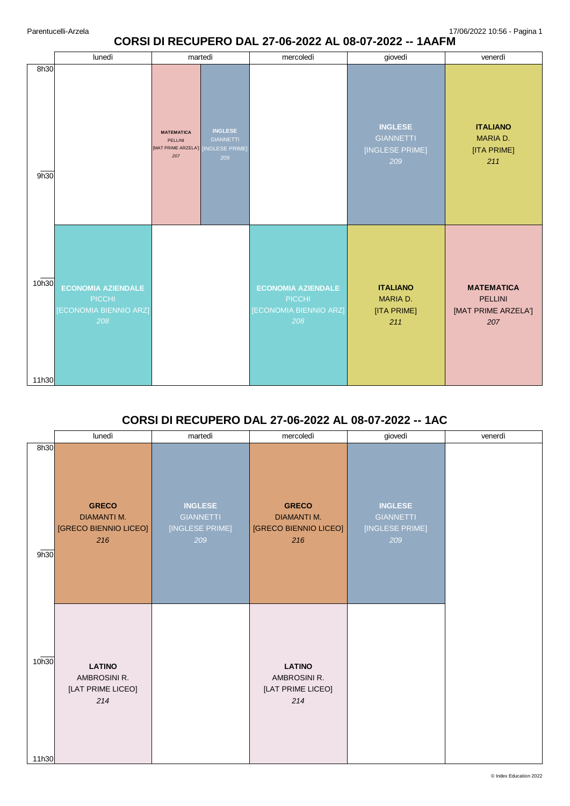### **CORSI DI RECUPERO DAL 27-06-2022 AL 08-07-2022 -- 1AAFM**

|                | lunedì                                                                      | martedì                                                    |                                                                    | mercoledì                                                            | giovedì                                                      | venerdì                                                           |
|----------------|-----------------------------------------------------------------------------|------------------------------------------------------------|--------------------------------------------------------------------|----------------------------------------------------------------------|--------------------------------------------------------------|-------------------------------------------------------------------|
| 8h30<br>9h30   |                                                                             | <b>MATEMATICA</b><br>PELLINI<br>[MAT PRIME ARZELA']<br>207 | <b>INGLESE</b><br><b>GIANNETTI</b><br><b>INGLESE PRIME)</b><br>209 |                                                                      | <b>INGLESE</b><br><b>GIANNETTI</b><br>[INGLESE PRIME]<br>209 | <b>ITALIANO</b><br>MARIA D.<br>[ITA PRIME]<br>211                 |
| 10h30<br>11h30 | <b>ECONOMIA AZIENDALE</b><br><b>PICCHI</b><br>[ECONOMIA BIENNIO ARZ]<br>208 |                                                            |                                                                    | <b>ECONOMIA AZIENDALE</b><br>PICCHI<br>[ECONOMIA BIENNIO ARZ]<br>208 | <b>ITALIANO</b><br>MARIA D.<br>[ITA PRIME]<br>211            | <b>MATEMATICA</b><br><b>PELLINI</b><br>[MAT PRIME ARZELA']<br>207 |

# **CORSI DI RECUPERO DAL 27-06-2022 AL 08-07-2022 -- 1AC**

|                | lunedì                                                             | martedì                                                      | mercoledì                                                          | giovedì                                                      | venerdì |
|----------------|--------------------------------------------------------------------|--------------------------------------------------------------|--------------------------------------------------------------------|--------------------------------------------------------------|---------|
| 8h30<br>9h30   | <b>GRECO</b><br><b>DIAMANTI M.</b><br>[GRECO BIENNIO LICEO]<br>216 | <b>INGLESE</b><br><b>GIANNETTI</b><br>[INGLESE PRIME]<br>209 | <b>GRECO</b><br><b>DIAMANTI M.</b><br>[GRECO BIENNIO LICEO]<br>216 | <b>INGLESE</b><br><b>GIANNETTI</b><br>[INGLESE PRIME]<br>209 |         |
| 10h30<br>11h30 | <b>LATINO</b><br>AMBROSINI R.<br>[LAT PRIME LICEO]<br>214          |                                                              | <b>LATINO</b><br>AMBROSINI R.<br>[LAT PRIME LICEO]<br>214          |                                                              |         |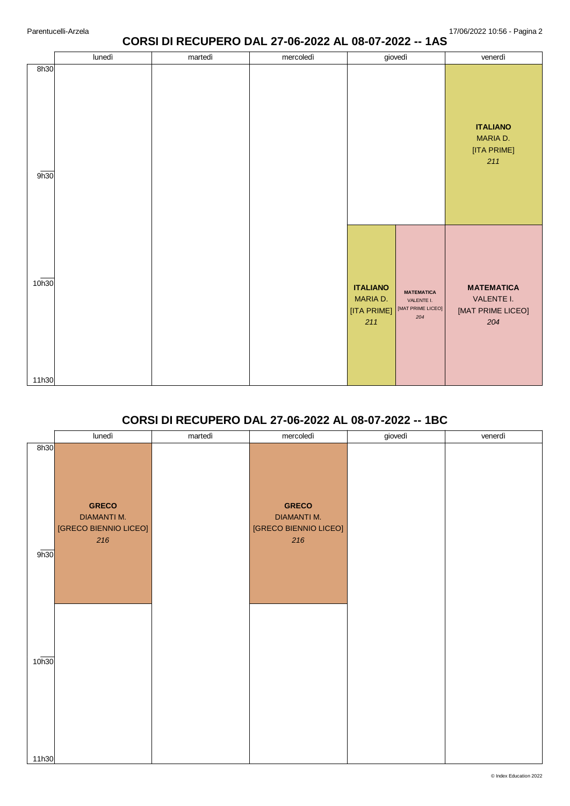### **CORSI DI RECUPERO DAL 27-06-2022 AL 08-07-2022 -- 1AS**

|                | lunedì | martedì | mercoledì | giovedì                                                                                                          | venerdì                                                     |
|----------------|--------|---------|-----------|------------------------------------------------------------------------------------------------------------------|-------------------------------------------------------------|
| 8h30<br>9h30   |        |         |           |                                                                                                                  | <b>ITALIANO</b><br>MARIA D.<br>[ITA PRIME]<br>211           |
| 10h30<br>11h30 |        |         |           | <b>ITALIANO</b><br><b>MATEMATICA</b><br>MARIA D.<br>VALENTE I.<br>[MAT PRIME LICEO]<br>[ITA PRIME]<br>204<br>211 | <b>MATEMATICA</b><br>VALENTE I.<br>[MAT PRIME LICEO]<br>204 |

## **CORSI DI RECUPERO DAL 27-06-2022 AL 08-07-2022 -- 1BC**

|                   | lunedì                                                             | martedì | mercoledì                                                          | giovedì | venerdì |
|-------------------|--------------------------------------------------------------------|---------|--------------------------------------------------------------------|---------|---------|
| 8h30<br>9h30      | <b>GRECO</b><br><b>DIAMANTI M.</b><br>[GRECO BIENNIO LICEO]<br>216 |         | <b>GRECO</b><br><b>DIAMANTI M.</b><br>[GRECO BIENNIO LICEO]<br>216 |         |         |
| 10 <sub>h30</sub> |                                                                    |         |                                                                    |         |         |
| 11h30             |                                                                    |         |                                                                    |         |         |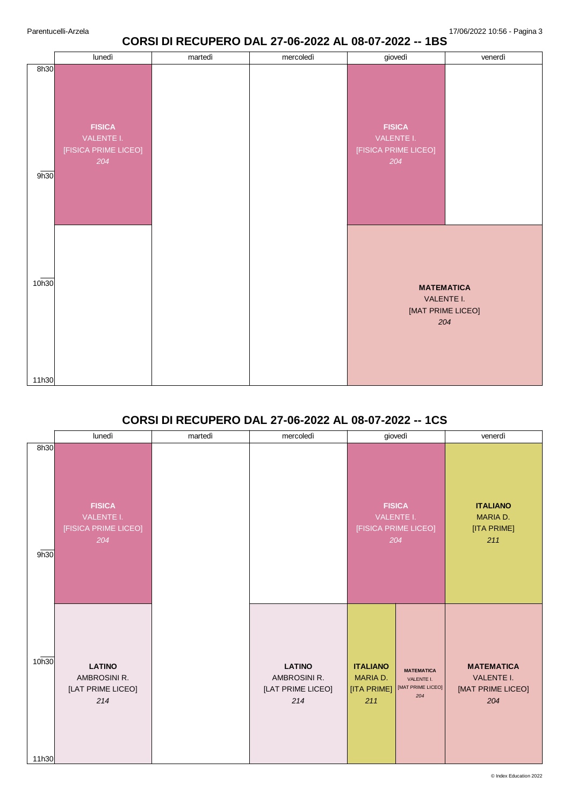## **CORSI DI RECUPERO DAL 27-06-2022 AL 08-07-2022 -- 1BS**

|                | lunedì                                                     | martedì | mercoledì | giovedì                                                    | venerdì                                                     |
|----------------|------------------------------------------------------------|---------|-----------|------------------------------------------------------------|-------------------------------------------------------------|
| 8h30<br>9h30   | <b>FISICA</b><br>VALENTE I.<br>[FISICA PRIME LICEO]<br>204 |         |           | <b>FISICA</b><br>VALENTE I.<br>[FISICA PRIME LICEO]<br>204 |                                                             |
| 10h30<br>11h30 |                                                            |         |           |                                                            | <b>MATEMATICA</b><br>VALENTE I.<br>[MAT PRIME LICEO]<br>204 |

## **CORSI DI RECUPERO DAL 27-06-2022 AL 08-07-2022 -- 1CS**

|                | lunedì                                                     | martedì | mercoledì                                                 | giovedì                                                                                                          | venerdì                                                     |
|----------------|------------------------------------------------------------|---------|-----------------------------------------------------------|------------------------------------------------------------------------------------------------------------------|-------------------------------------------------------------|
| 8h30<br>9h30   | <b>FISICA</b><br>VALENTE I.<br>[FISICA PRIME LICEO]<br>204 |         |                                                           | <b>FISICA</b><br>VALENTE I.<br>[FISICA PRIME LICEO]<br>204                                                       | <b>ITALIANO</b><br>MARIA D.<br>[ITA PRIME]<br>211           |
| 10h30<br>11h30 | <b>LATINO</b><br>AMBROSINI R.<br>[LAT PRIME LICEO]<br>214  |         | <b>LATINO</b><br>AMBROSINI R.<br>[LAT PRIME LICEO]<br>214 | <b>ITALIANO</b><br><b>MATEMATICA</b><br>MARIA D.<br>VALENTE I.<br>[MAT PRIME LICEO]<br>[ITA PRIME]<br>204<br>211 | <b>MATEMATICA</b><br>VALENTE I.<br>[MAT PRIME LICEO]<br>204 |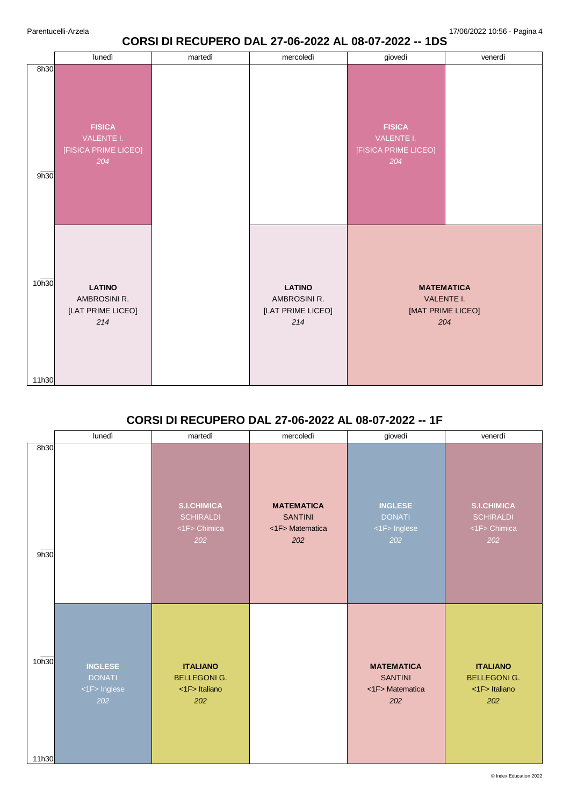## **CORSI DI RECUPERO DAL 27-06-2022 AL 08-07-2022 -- 1DS**

|                | lunedì                                                     | martedì | mercoledì                                                 | giovedì                                                    | venerdì |
|----------------|------------------------------------------------------------|---------|-----------------------------------------------------------|------------------------------------------------------------|---------|
| 8h30<br>9h30   | <b>FISICA</b><br>VALENTE I.<br>[FISICA PRIME LICEO]<br>204 |         |                                                           | <b>FISICA</b><br>VALENTE I.<br>[FISICA PRIME LICEO]<br>204 |         |
| 10h30<br>11h30 | <b>LATINO</b><br>AMBROSINI R.<br>[LAT PRIME LICEO]<br>214  |         | <b>LATINO</b><br>AMBROSINI R.<br>[LAT PRIME LICEO]<br>214 | <b>MATEMATICA</b><br>VALENTE I.<br>[MAT PRIME LICEO]       | 204     |

## **CORSI DI RECUPERO DAL 27-06-2022 AL 08-07-2022 -- 1F**

|                | lunedì                                                 | martedì                                                       | mercoledì                                                     | giovedì                                                       | venerdì                                                       |
|----------------|--------------------------------------------------------|---------------------------------------------------------------|---------------------------------------------------------------|---------------------------------------------------------------|---------------------------------------------------------------|
| 8h30<br>9h30   |                                                        | <b>S.I.CHIMICA</b><br><b>SCHIRALDI</b><br><1F> Chimica<br>202 | <b>MATEMATICA</b><br><b>SANTINI</b><br><1F> Matematica<br>202 | <b>INGLESE</b><br><b>DONATI</b><br><1F> Inglese<br>202        | <b>S.I.CHIMICA</b><br><b>SCHIRALDI</b><br><1F> Chimica<br>202 |
| 10h30<br>11h30 | <b>INGLESE</b><br><b>DONATI</b><br><1F> Inglese<br>202 | <b>ITALIANO</b><br><b>BELLEGONIG.</b><br><1F> Italiano<br>202 |                                                               | <b>MATEMATICA</b><br><b>SANTINI</b><br><1F> Matematica<br>202 | <b>ITALIANO</b><br><b>BELLEGONIG.</b><br><1F> Italiano<br>202 |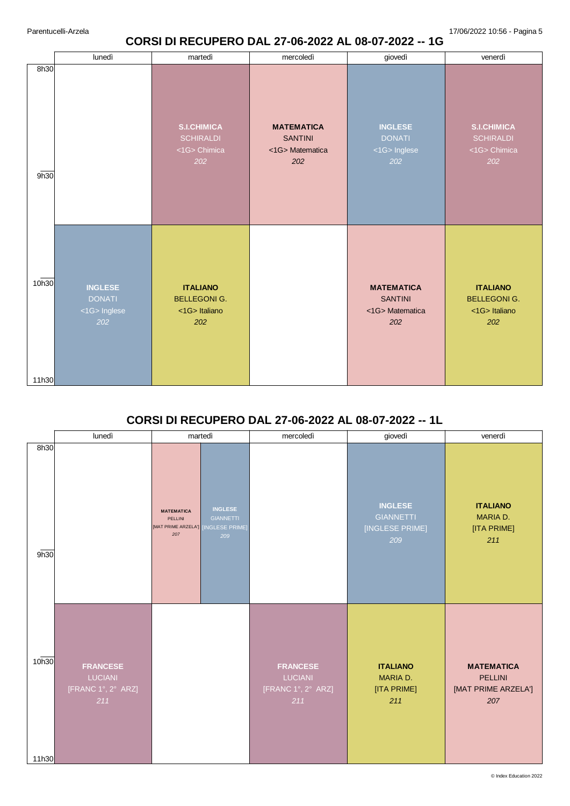# **CORSI DI RECUPERO DAL 27-06-2022 AL 08-07-2022 -- 1G**

|                | lunedì                                                 | martedì                                                       | mercoledì                                                    | giovedì                                                      | venerdì                                                       |
|----------------|--------------------------------------------------------|---------------------------------------------------------------|--------------------------------------------------------------|--------------------------------------------------------------|---------------------------------------------------------------|
| 8h30<br>9h30   |                                                        | <b>S.I.CHIMICA</b><br><b>SCHIRALDI</b><br><1G> Chimica<br>202 | <b>MATEMATICA</b><br><b>SANTINI</b><br><1G>Matematica<br>202 | <b>INGLESE</b><br><b>DONATI</b><br><1G> Inglese<br>202       | <b>S.I.CHIMICA</b><br><b>SCHIRALDI</b><br><1G> Chimica<br>202 |
| 10h30<br>11h30 | <b>INGLESE</b><br><b>DONATI</b><br><1G> Inglese<br>202 | <b>ITALIANO</b><br><b>BELLEGONIG.</b><br><1G> Italiano<br>202 |                                                              | <b>MATEMATICA</b><br><b>SANTINI</b><br><1G>Matematica<br>202 | <b>ITALIANO</b><br><b>BELLEGONIG.</b><br><1G> Italiano<br>202 |

## **CORSI DI RECUPERO DAL 27-06-2022 AL 08-07-2022 -- 1L**

|                | lunedì                                                         | martedì                                                                                                                 | mercoledì                                                      | giovedì                                                      | venerdì                                                           |
|----------------|----------------------------------------------------------------|-------------------------------------------------------------------------------------------------------------------------|----------------------------------------------------------------|--------------------------------------------------------------|-------------------------------------------------------------------|
| 8h30<br>9h30   |                                                                | <b>INGLESE</b><br><b>MATEMATICA</b><br><b>GIANNETTI</b><br>PELLINI<br>[MAT PRIME ARZELA'] [INGLESE PRIME]<br>207<br>209 |                                                                | <b>INGLESE</b><br><b>GIANNETTI</b><br>[INGLESE PRIME]<br>209 | <b>ITALIANO</b><br>MARIA D.<br>[ITA PRIME]<br>211                 |
| 10h30<br>11h30 | <b>FRANCESE</b><br><b>LUCIANI</b><br>[FRANC 1°, 2° ARZ]<br>211 |                                                                                                                         | <b>FRANCESE</b><br><b>LUCIANI</b><br>[FRANC 1°, 2° ARZ]<br>211 | <b>ITALIANO</b><br>MARIA D.<br>[ITA PRIME]<br>211            | <b>MATEMATICA</b><br><b>PELLINI</b><br>[MAT PRIME ARZELA']<br>207 |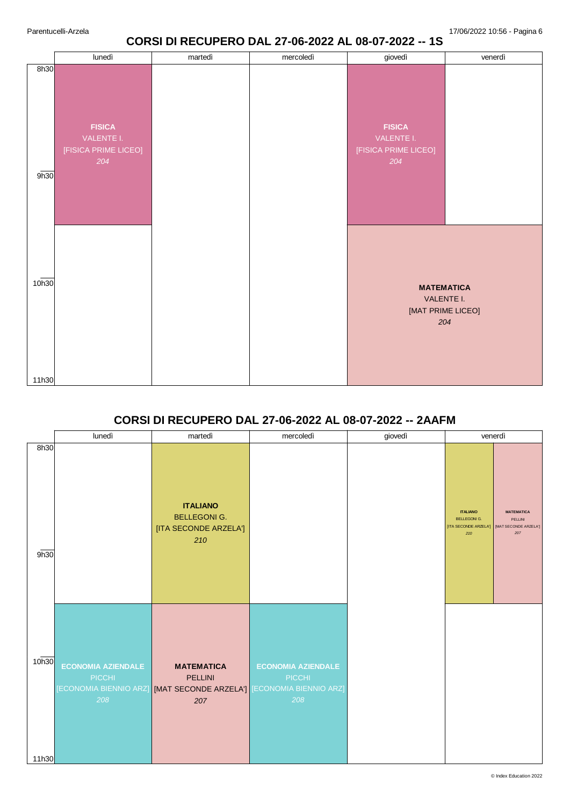### **CORSI DI RECUPERO DAL 27-06-2022 AL 08-07-2022 -- 1S**

|                | lunedì                                                     | martedì | mercoledì | giovedì                                                    | venerdì                                                     |
|----------------|------------------------------------------------------------|---------|-----------|------------------------------------------------------------|-------------------------------------------------------------|
| 8h30<br>9h30   | <b>FISICA</b><br>VALENTE I.<br>[FISICA PRIME LICEO]<br>204 |         |           | <b>FISICA</b><br>VALENTE I.<br>[FISICA PRIME LICEO]<br>204 |                                                             |
| 10h30<br>11h30 |                                                            |         |           |                                                            | <b>MATEMATICA</b><br>VALENTE I.<br>[MAT PRIME LICEO]<br>204 |

# **CORSI DI RECUPERO DAL 27-06-2022 AL 08-07-2022 -- 2AAFM**

|                | lunedì                                            | martedì                                                                                                           | mercoledì                                         | giovedì |                                                                        | venerdì                                                      |
|----------------|---------------------------------------------------|-------------------------------------------------------------------------------------------------------------------|---------------------------------------------------|---------|------------------------------------------------------------------------|--------------------------------------------------------------|
| 8h30<br>9h30   |                                                   | <b>ITALIANO</b><br><b>BELLEGONIG.</b><br>[ITA SECONDE ARZELA']<br>210                                             |                                                   |         | <b>ITALIANO</b><br><b>BELLEGONI G.</b><br>[ITA SECONDE ARZELA']<br>210 | <b>MATEMATICA</b><br>PELLINI<br>[MAT SECONDE ARZELA']<br>207 |
| 10h30<br>11h30 | <b>ECONOMIA AZIENDALE</b><br><b>PICCHI</b><br>208 | <b>MATEMATICA</b><br>PELLINI<br>[ECONOMIA BIENNIO ARZ] <b>[MAT SECONDE ARZELA']</b> [ECONOMIA BIENNIO ARZ]<br>207 | <b>ECONOMIA AZIENDALE</b><br><b>PICCHI</b><br>208 |         |                                                                        |                                                              |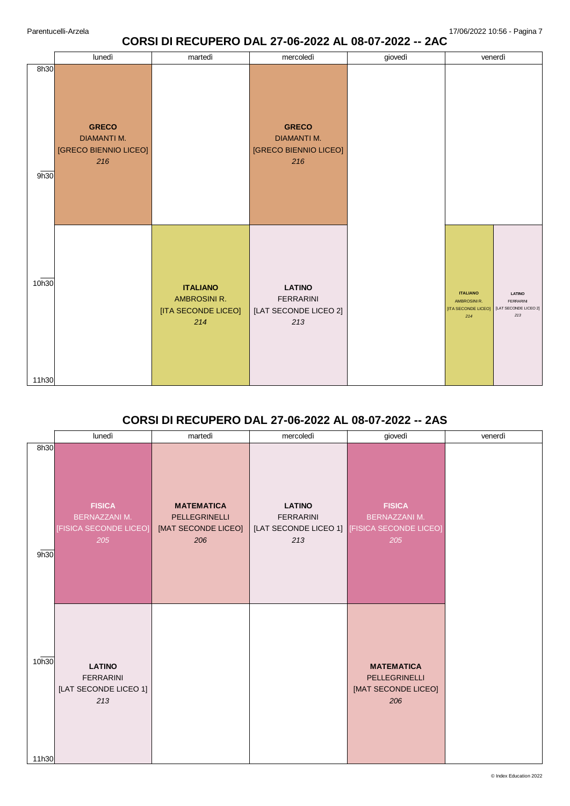### **CORSI DI RECUPERO DAL 27-06-2022 AL 08-07-2022 -- 2AC**

|                | lunedì                                                             | martedì                                                              | mercoledì                                                          | giovedì | venerdì                                                                                                                            |
|----------------|--------------------------------------------------------------------|----------------------------------------------------------------------|--------------------------------------------------------------------|---------|------------------------------------------------------------------------------------------------------------------------------------|
| 8h30<br>9h30   | <b>GRECO</b><br><b>DIAMANTI M.</b><br>[GRECO BIENNIO LICEO]<br>216 |                                                                      | <b>GRECO</b><br><b>DIAMANTI M.</b><br>[GRECO BIENNIO LICEO]<br>216 |         |                                                                                                                                    |
| 10h30<br>11h30 |                                                                    | <b>ITALIANO</b><br><b>AMBROSINI R.</b><br>[ITA SECONDE LICEO]<br>214 | <b>LATINO</b><br><b>FERRARINI</b><br>[LAT SECONDE LICEO 2]<br>213  |         | <b>ITALIANO</b><br><b>LATINO</b><br>AMBROSINI R.<br><b>FERRARINI</b><br>[LAT SECONDE LICEO 2]<br>[ITA SECONDE LICEO]<br>213<br>214 |

## **CORSI DI RECUPERO DAL 27-06-2022 AL 08-07-2022 -- 2AS**

|                | lunedì                                                                 | martedì                                                          | mercoledì                                | giovedì                                                                                      | venerdì |
|----------------|------------------------------------------------------------------------|------------------------------------------------------------------|------------------------------------------|----------------------------------------------------------------------------------------------|---------|
| 8h30<br>9h30   | <b>FISICA</b><br><b>BERNAZZANI M.</b><br>[FISICA SECONDE LICEO]<br>205 | <b>MATEMATICA</b><br>PELLEGRINELLI<br>[MAT SECONDE LICEO]<br>206 | <b>LATINO</b><br><b>FERRARINI</b><br>213 | <b>FISICA</b><br><b>BERNAZZANI M.</b><br>[LAT SECONDE LICEO 1] [FISICA SECONDE LICEO]<br>205 |         |
| 10h30<br>11h30 | <b>LATINO</b><br><b>FERRARINI</b><br>[LAT SECONDE LICEO 1]<br>213      |                                                                  |                                          | <b>MATEMATICA</b><br>PELLEGRINELLI<br>[MAT SECONDE LICEO]<br>206                             |         |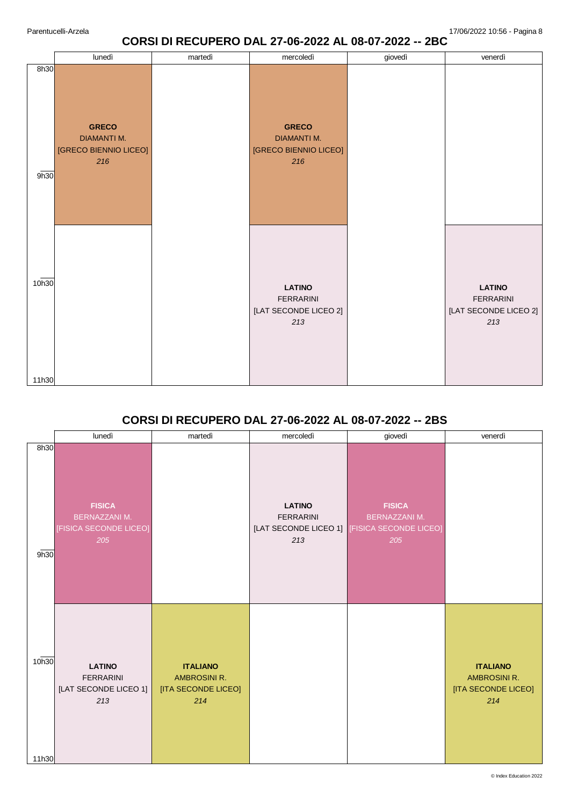### **CORSI DI RECUPERO DAL 27-06-2022 AL 08-07-2022 -- 2BC**

|                | lunedì                                                             | martedì | mercoledì                                                          | giovedì | venerdì                                                               |
|----------------|--------------------------------------------------------------------|---------|--------------------------------------------------------------------|---------|-----------------------------------------------------------------------|
| 8h30<br>9h30   | <b>GRECO</b><br><b>DIAMANTI M.</b><br>[GRECO BIENNIO LICEO]<br>216 |         | <b>GRECO</b><br><b>DIAMANTI M.</b><br>[GRECO BIENNIO LICEO]<br>216 |         |                                                                       |
| 10h30<br>11h30 |                                                                    |         | <b>LATINO</b><br><b>FERRARINI</b><br>[LAT SECONDE LICEO 2]<br>213  |         | <b>LATINO</b><br><b>FERRARINI</b><br>[LAT SECONDE LICEO 2]<br>$213\,$ |

## **CORSI DI RECUPERO DAL 27-06-2022 AL 08-07-2022 -- 2BS**

|                | lunedì                                                                 | martedì                                                       | mercoledì                                | giovedì                                                                                     | venerdì                                                       |
|----------------|------------------------------------------------------------------------|---------------------------------------------------------------|------------------------------------------|---------------------------------------------------------------------------------------------|---------------------------------------------------------------|
| 8h30<br>9h30   | <b>FISICA</b><br><b>BERNAZZANI M.</b><br>[FISICA SECONDE LICEO]<br>205 |                                                               | <b>LATINO</b><br><b>FERRARINI</b><br>213 | <b>FISICA</b><br><b>BERNAZZANI M.</b><br>[LAT SECONDE LICEO 1] FISICA SECONDE LICEO]<br>205 |                                                               |
| 10h30<br>11h30 | <b>LATINO</b><br><b>FERRARINI</b><br>[LAT SECONDE LICEO 1]<br>213      | <b>ITALIANO</b><br>AMBROSINI R.<br>[ITA SECONDE LICEO]<br>214 |                                          |                                                                                             | <b>ITALIANO</b><br>AMBROSINI R.<br>[ITA SECONDE LICEO]<br>214 |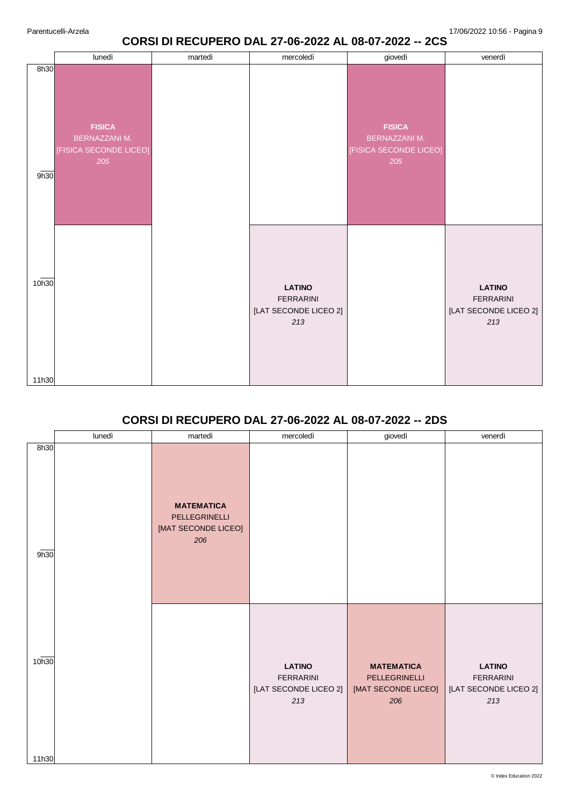## **CORSI DI RECUPERO DAL 27-06-2022 AL 08-07-2022 -- 2CS**

|                | lunedì                                                                 | martedì | mercoledì                                                         | giovedì                                                                | venerdì                                                           |
|----------------|------------------------------------------------------------------------|---------|-------------------------------------------------------------------|------------------------------------------------------------------------|-------------------------------------------------------------------|
| 8h30<br>9h30   | <b>FISICA</b><br><b>BERNAZZANI M.</b><br>[FISICA SECONDE LICEO]<br>205 |         |                                                                   | <b>FISICA</b><br><b>BERNAZZANI M.</b><br>[FISICA SECONDE LICEO]<br>205 |                                                                   |
| 10h30<br>11h30 |                                                                        |         | <b>LATINO</b><br><b>FERRARINI</b><br>[LAT SECONDE LICEO 2]<br>213 |                                                                        | <b>LATINO</b><br><b>FERRARINI</b><br>[LAT SECONDE LICEO 2]<br>213 |

### **CORSI DI RECUPERO DAL 27-06-2022 AL 08-07-2022 -- 2DS**

|              | lunedì | martedì                                                          | mercoledì                                                         | giovedì                                                          | venerdì                                                           |
|--------------|--------|------------------------------------------------------------------|-------------------------------------------------------------------|------------------------------------------------------------------|-------------------------------------------------------------------|
| 8h30<br>9h30 |        | <b>MATEMATICA</b><br>PELLEGRINELLI<br>[MAT SECONDE LICEO]<br>206 |                                                                   |                                                                  |                                                                   |
| 10h30        |        |                                                                  | <b>LATINO</b><br><b>FERRARINI</b><br>[LAT SECONDE LICEO 2]<br>213 | <b>MATEMATICA</b><br>PELLEGRINELLI<br>[MAT SECONDE LICEO]<br>206 | <b>LATINO</b><br><b>FERRARINI</b><br>[LAT SECONDE LICEO 2]<br>213 |
| 11h30        |        |                                                                  |                                                                   |                                                                  |                                                                   |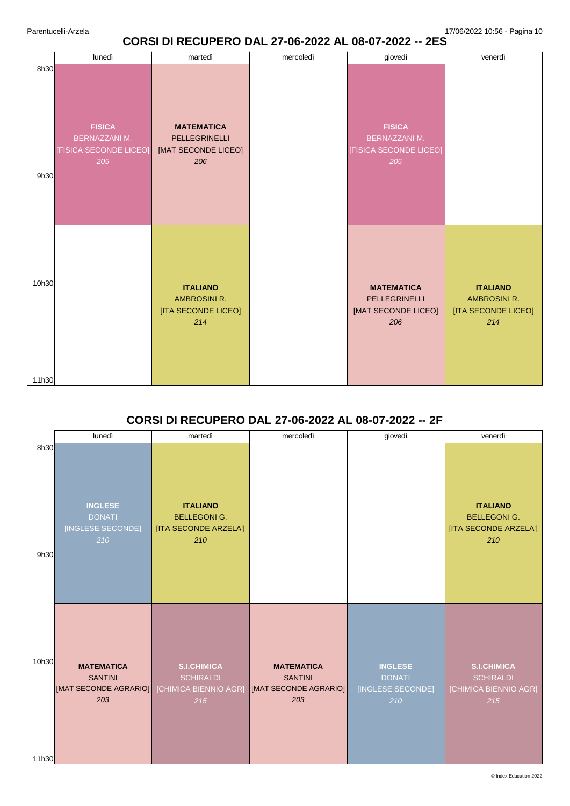## **CORSI DI RECUPERO DAL 27-06-2022 AL 08-07-2022 -- 2ES**

|                | lunedì                                                                 | martedì                                                          | mercoledì | giovedì                                                          | venerdì                                                              |
|----------------|------------------------------------------------------------------------|------------------------------------------------------------------|-----------|------------------------------------------------------------------|----------------------------------------------------------------------|
| 8h30<br>9h30   | <b>FISICA</b><br><b>BERNAZZANI M.</b><br>[FISICA SECONDE LICEO]<br>205 | <b>MATEMATICA</b><br>PELLEGRINELLI<br>[MAT SECONDE LICEO]<br>206 |           | <b>FISICA</b><br>BERNAZZANI M.<br>[FISICA SECONDE LICEO]<br>205  |                                                                      |
| 10h30<br>11h30 |                                                                        | <b>ITALIANO</b><br>AMBROSINI R.<br>[ITA SECONDE LICEO]<br>214    |           | <b>MATEMATICA</b><br>PELLEGRINELLI<br>[MAT SECONDE LICEO]<br>206 | <b>ITALIANO</b><br><b>AMBROSINI R.</b><br>[ITA SECONDE LICEO]<br>214 |

### **CORSI DI RECUPERO DAL 27-06-2022 AL 08-07-2022 -- 2F**

|                | lunedì                                                              | martedì                                                                | mercoledì                                                           | giovedì                                                     | venerdì                                                                |
|----------------|---------------------------------------------------------------------|------------------------------------------------------------------------|---------------------------------------------------------------------|-------------------------------------------------------------|------------------------------------------------------------------------|
| 8h30<br>9h30   | <b>INGLESE</b><br><b>DONATI</b><br>[INGLESE SECONDE]<br>210         | <b>ITALIANO</b><br><b>BELLEGONI G.</b><br>[ITA SECONDE ARZELA']<br>210 |                                                                     |                                                             | <b>ITALIANO</b><br><b>BELLEGONI G.</b><br>[ITA SECONDE ARZELA']<br>210 |
| 10h30<br>11h30 | <b>MATEMATICA</b><br><b>SANTINI</b><br>[MAT SECONDE AGRARIO]<br>203 | <b>S.I.CHIMICA</b><br><b>SCHIRALDI</b><br>[CHIMICA BIENNIO AGR]<br>215 | <b>MATEMATICA</b><br><b>SANTINI</b><br>[MAT SECONDE AGRARIO]<br>203 | <b>INGLESE</b><br><b>DONATI</b><br>[INGLESE SECONDE]<br>210 | <b>S.I.CHIMICA</b><br><b>SCHIRALDI</b><br>[CHIMICA BIENNIO AGR]<br>215 |

© Index Education 2022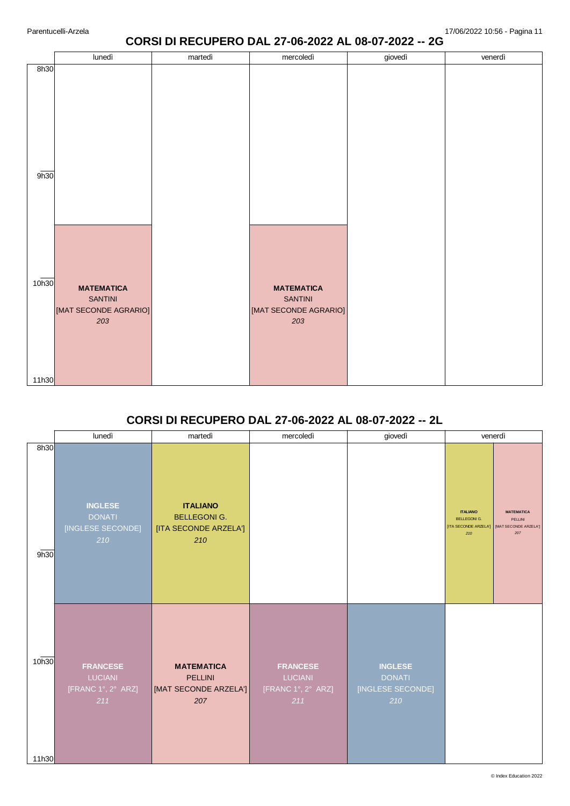### **CORSI DI RECUPERO DAL 27-06-2022 AL 08-07-2022 -- 2G**

|       | lunedì                                                              | martedì | mercoledì                                                           | giovedì | venerdì |
|-------|---------------------------------------------------------------------|---------|---------------------------------------------------------------------|---------|---------|
| 8h30  |                                                                     |         |                                                                     |         |         |
| 9h30  |                                                                     |         |                                                                     |         |         |
| 10h30 | <b>MATEMATICA</b><br><b>SANTINI</b><br>[MAT SECONDE AGRARIO]<br>203 |         | <b>MATEMATICA</b><br><b>SANTINI</b><br>[MAT SECONDE AGRARIO]<br>203 |         |         |
| 11h30 |                                                                     |         |                                                                     |         |         |
|       |                                                                     |         |                                                                     |         |         |

## **CORSI DI RECUPERO DAL 27-06-2022 AL 08-07-2022 -- 2L**

|                | lunedì                                                         | martedì                                                               | mercoledì                                                      | giovedì                                                     | venerdì                                                                |                                                              |
|----------------|----------------------------------------------------------------|-----------------------------------------------------------------------|----------------------------------------------------------------|-------------------------------------------------------------|------------------------------------------------------------------------|--------------------------------------------------------------|
| 8h30<br>9h30   | <b>INGLESE</b><br><b>DONATI</b><br>[INGLESE SECONDE]<br>210    | <b>ITALIANO</b><br><b>BELLEGONIG.</b><br>[ITA SECONDE ARZELA']<br>210 |                                                                |                                                             | <b>ITALIANO</b><br><b>BELLEGONI G.</b><br>[ITA SECONDE ARZELA']<br>210 | <b>MATEMATICA</b><br>PELLINI<br>[MAT SECONDE ARZELA']<br>207 |
| 10h30<br>11h30 | <b>FRANCESE</b><br><b>LUCIANI</b><br>[FRANC 1°, 2° ARZ]<br>211 | <b>MATEMATICA</b><br><b>PELLINI</b><br>[MAT SECONDE ARZELA']<br>207   | <b>FRANCESE</b><br><b>LUCIANI</b><br>[FRANC 1°, 2° ARZ]<br>211 | <b>INGLESE</b><br><b>DONATI</b><br>[INGLESE SECONDE]<br>210 |                                                                        |                                                              |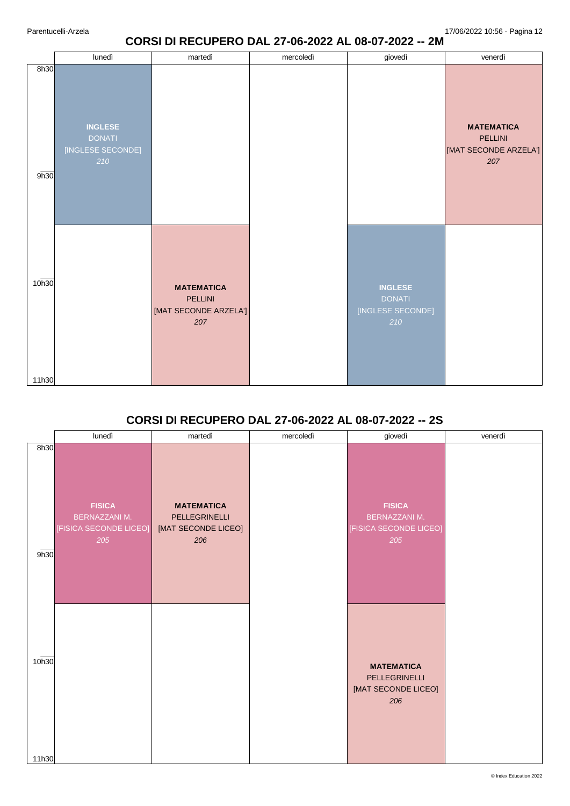## **CORSI DI RECUPERO DAL 27-06-2022 AL 08-07-2022 -- 2M**

|                | lunedì                                                      | martedì                                                      | mercoledì | giovedì                                                     | venerdì                                                      |
|----------------|-------------------------------------------------------------|--------------------------------------------------------------|-----------|-------------------------------------------------------------|--------------------------------------------------------------|
| 8h30<br>9h30   | <b>INGLESE</b><br><b>DONATI</b><br>[INGLESE SECONDE]<br>210 |                                                              |           |                                                             | <b>MATEMATICA</b><br>PELLINI<br>[MAT SECONDE ARZELA']<br>207 |
| 10h30<br>11h30 |                                                             | <b>MATEMATICA</b><br>PELLINI<br>[MAT SECONDE ARZELA']<br>207 |           | <b>INGLESE</b><br><b>DONATI</b><br>[INGLESE SECONDE]<br>210 |                                                              |

# **CORSI DI RECUPERO DAL 27-06-2022 AL 08-07-2022 -- 2S**

|                | lunedì                                                                 | martedì                                                          | mercoledì | giovedì                                                                | venerdì |
|----------------|------------------------------------------------------------------------|------------------------------------------------------------------|-----------|------------------------------------------------------------------------|---------|
| 8h30<br>9h30   | <b>FISICA</b><br><b>BERNAZZANI M.</b><br>[FISICA SECONDE LICEO]<br>205 | <b>MATEMATICA</b><br>PELLEGRINELLI<br>[MAT SECONDE LICEO]<br>206 |           | <b>FISICA</b><br><b>BERNAZZANI M.</b><br>[FISICA SECONDE LICEO]<br>205 |         |
| 10h30<br>11h30 |                                                                        |                                                                  |           | <b>MATEMATICA</b><br>PELLEGRINELLI<br>[MAT SECONDE LICEO]<br>206       |         |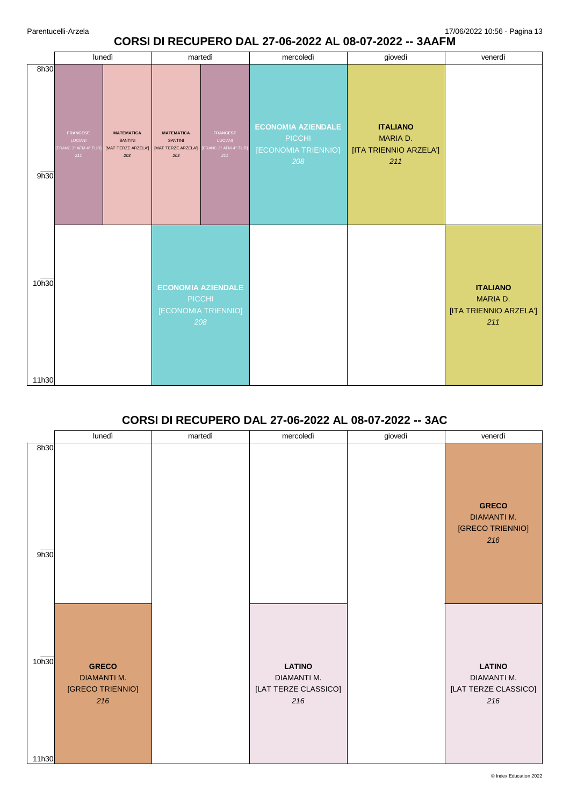# **CORSI DI RECUPERO DAL 27-06-2022 AL 08-07-2022 -- 3AAFM**

|                |                                                                 | lunedì                                                     | martedì                                                           |                                                                  | mercoledì                                                         | giovedì                                                      | venerdì                                                      |
|----------------|-----------------------------------------------------------------|------------------------------------------------------------|-------------------------------------------------------------------|------------------------------------------------------------------|-------------------------------------------------------------------|--------------------------------------------------------------|--------------------------------------------------------------|
| 8h30<br>9h30   | <b>FRANCESE</b><br><b>LUCIANI</b><br>FRANC 3° AFM 4° TUR<br>211 | <b>MATEMATICA</b><br>SANTINI<br>[MAT TERZE ARZELA']<br>203 | <b>MATEMATICA</b><br><b>SANTINI</b><br>[MAT TERZE ARZELA']<br>203 | <b>FRANCESE</b><br><b>LUCIANI</b><br>FRANC 3° AFM 4° TUR]<br>211 | <b>ECONOMIA AZIENDALE</b><br>PICCHI<br>[ECONOMIA TRIENNIO]<br>208 | <b>ITALIANO</b><br>MARIA D.<br>[ITA TRIENNIO ARZELA']<br>211 |                                                              |
| 10h30<br>11h30 |                                                                 |                                                            | [ECONOMIA TRIENNIO]                                               | <b>ECONOMIA AZIENDALE</b><br><b>PICCHI</b><br>208                |                                                                   |                                                              | <b>ITALIANO</b><br>MARIA D.<br>[ITA TRIENNIO ARZELA']<br>211 |

# **CORSI DI RECUPERO DAL 27-06-2022 AL 08-07-2022 -- 3AC**

|                | lunedì                                                        | martedì | mercoledì                                                   | giovedì | venerdì                                                       |
|----------------|---------------------------------------------------------------|---------|-------------------------------------------------------------|---------|---------------------------------------------------------------|
| 8h30<br>9h30   |                                                               |         |                                                             |         | <b>GRECO</b><br><b>DIAMANTI M.</b><br>[GRECO TRIENNIO]<br>216 |
| 10h30<br>11h30 | <b>GRECO</b><br><b>DIAMANTI M.</b><br>[GRECO TRIENNIO]<br>216 |         | <b>LATINO</b><br>DIAMANTI M.<br>[LAT TERZE CLASSICO]<br>216 |         | <b>LATINO</b><br>DIAMANTI M.<br>[LAT TERZE CLASSICO]<br>216   |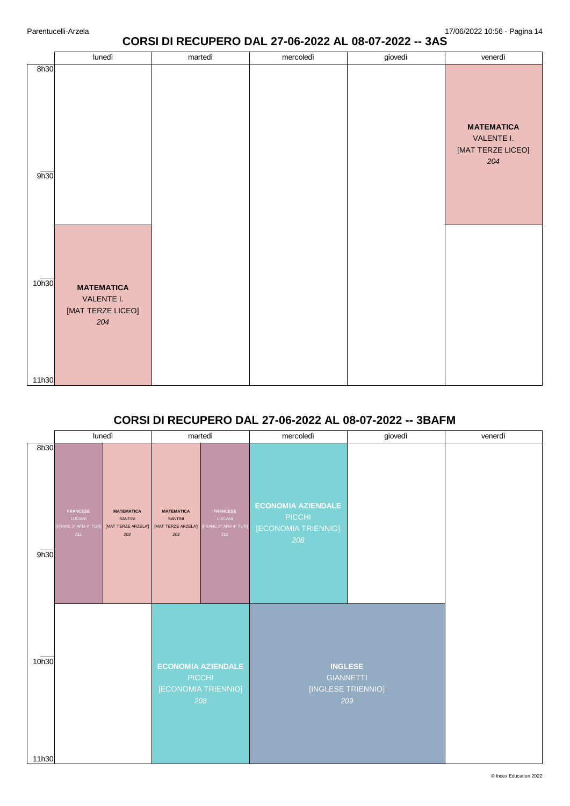## **CORSI DI RECUPERO DAL 27-06-2022 AL 08-07-2022 -- 3AS**

|                   | lunedì                                                      | martedì | mercoledì | giovedì | venerdì                                                     |
|-------------------|-------------------------------------------------------------|---------|-----------|---------|-------------------------------------------------------------|
| 8h30<br>9h30      |                                                             |         |           |         | <b>MATEMATICA</b><br>VALENTE I.<br>[MAT TERZE LICEO]<br>204 |
| 10 <sub>h30</sub> | <b>MATEMATICA</b><br>VALENTE I.<br>[MAT TERZE LICEO]<br>204 |         |           |         |                                                             |
| 11h30             |                                                             |         |           |         |                                                             |

# **CORSI DI RECUPERO DAL 27-06-2022 AL 08-07-2022 -- 3BAFM**

|              | lunedì                                                            |                                                            |                                                            | martedì                                                           | mercoledì                                                         | giovedì | venerdì |
|--------------|-------------------------------------------------------------------|------------------------------------------------------------|------------------------------------------------------------|-------------------------------------------------------------------|-------------------------------------------------------------------|---------|---------|
| 8h30<br>9h30 | <b>FRANCESE</b><br><b>LUCIANI</b><br>[FRANC 3° AFM 4° TUR]<br>211 | <b>MATEMATICA</b><br>SANTINI<br>[MAT TERZE ARZELA']<br>203 | <b>MATEMATICA</b><br>SANTINI<br>[MAT TERZE ARZELA']<br>203 | <b>FRANCESE</b><br>LUCIANI<br>FRANC 3° AFM 4° TUR]<br>211         | <b>ECONOMIA AZIENDALE</b><br>PICCHI<br>[ECONOMIA TRIENNIO]<br>208 |         |         |
| 10h30        |                                                                   |                                                            |                                                            | <b>ECONOMIA AZIENDALE</b><br>PICCHI<br>[ECONOMIA TRIENNIO]<br>208 | <b>INGLESE</b><br><b>GIANNETTI</b><br>[INGLESE TRIENNIO]          | 209     |         |
| 11h30        |                                                                   |                                                            |                                                            |                                                                   |                                                                   |         |         |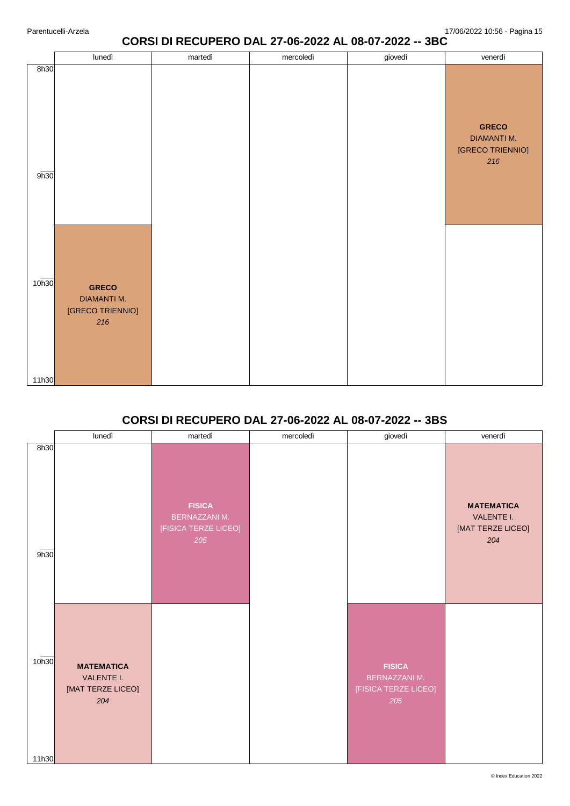## **CORSI DI RECUPERO DAL 27-06-2022 AL 08-07-2022 -- 3BC**

|                            | lunedì                                                        | martedì | mercoledì | giovedì | venerdì                                                       |
|----------------------------|---------------------------------------------------------------|---------|-----------|---------|---------------------------------------------------------------|
| 8h30<br>9h30               |                                                               |         |           |         | <b>GRECO</b><br><b>DIAMANTI M.</b><br>[GRECO TRIENNIO]<br>216 |
| 10 <sub>h30</sub><br>11h30 | <b>GRECO</b><br><b>DIAMANTI M.</b><br>[GRECO TRIENNIO]<br>216 |         |           |         |                                                               |
|                            |                                                               |         |           |         |                                                               |

# **CORSI DI RECUPERO DAL 27-06-2022 AL 08-07-2022 -- 3BS**

|                | lunedì                                                      | martedì                                                       | mercoledì | giovedì                                                              | venerdì                                                     |
|----------------|-------------------------------------------------------------|---------------------------------------------------------------|-----------|----------------------------------------------------------------------|-------------------------------------------------------------|
| 8h30<br>9h30   |                                                             | <b>FISICA</b><br>BERNAZZANI M.<br>[FISICA TERZE LICEO]<br>205 |           |                                                                      | <b>MATEMATICA</b><br>VALENTE I.<br>[MAT TERZE LICEO]<br>204 |
| 10h30<br>11h30 | <b>MATEMATICA</b><br>VALENTE I.<br>[MAT TERZE LICEO]<br>204 |                                                               |           | <b>FISICA</b><br><b>BERNAZZANI M.</b><br>[FISICA TERZE LICEO]<br>205 |                                                             |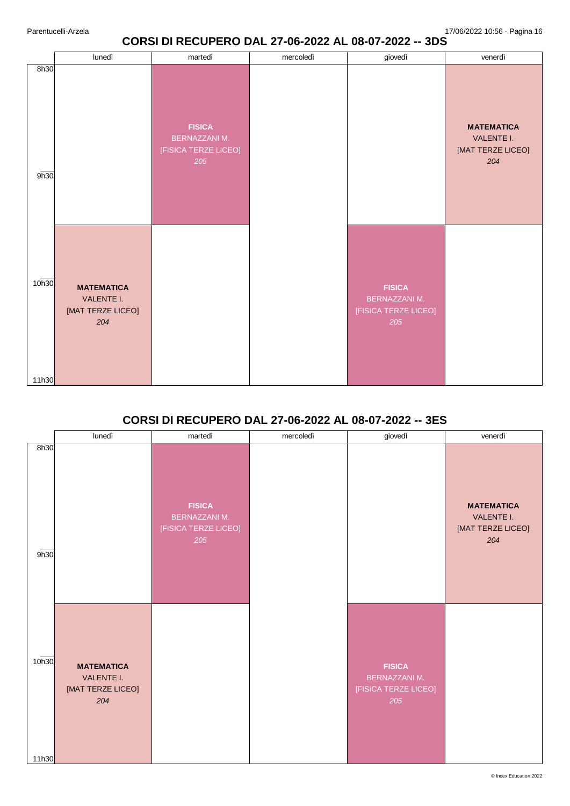## **CORSI DI RECUPERO DAL 27-06-2022 AL 08-07-2022 -- 3DS**

|                | lunedì                                                      | martedì                                                       | mercoledì | giovedì                                                       | venerdì                                                     |
|----------------|-------------------------------------------------------------|---------------------------------------------------------------|-----------|---------------------------------------------------------------|-------------------------------------------------------------|
| 8h30<br>9h30   |                                                             | <b>FISICA</b><br>BERNAZZANI M.<br>[FISICA TERZE LICEO]<br>205 |           |                                                               | <b>MATEMATICA</b><br>VALENTE I.<br>[MAT TERZE LICEO]<br>204 |
| 10h30<br>11h30 | <b>MATEMATICA</b><br>VALENTE I.<br>[MAT TERZE LICEO]<br>204 |                                                               |           | <b>FISICA</b><br>BERNAZZANI M.<br>[FISICA TERZE LICEO]<br>205 |                                                             |

# **CORSI DI RECUPERO DAL 27-06-2022 AL 08-07-2022 -- 3ES**

|                | lunedì                                                      | martedì                                                              | mercoledì | giovedì                                                              | venerdì                                                     |
|----------------|-------------------------------------------------------------|----------------------------------------------------------------------|-----------|----------------------------------------------------------------------|-------------------------------------------------------------|
| 8h30<br>9h30   |                                                             | <b>FISICA</b><br><b>BERNAZZANI M.</b><br>[FISICA TERZE LICEO]<br>205 |           |                                                                      | <b>MATEMATICA</b><br>VALENTE I.<br>[MAT TERZE LICEO]<br>204 |
| 10h30<br>11h30 | <b>MATEMATICA</b><br>VALENTE I.<br>[MAT TERZE LICEO]<br>204 |                                                                      |           | <b>FISICA</b><br><b>BERNAZZANI M.</b><br>[FISICA TERZE LICEO]<br>205 |                                                             |

© Index Education 2022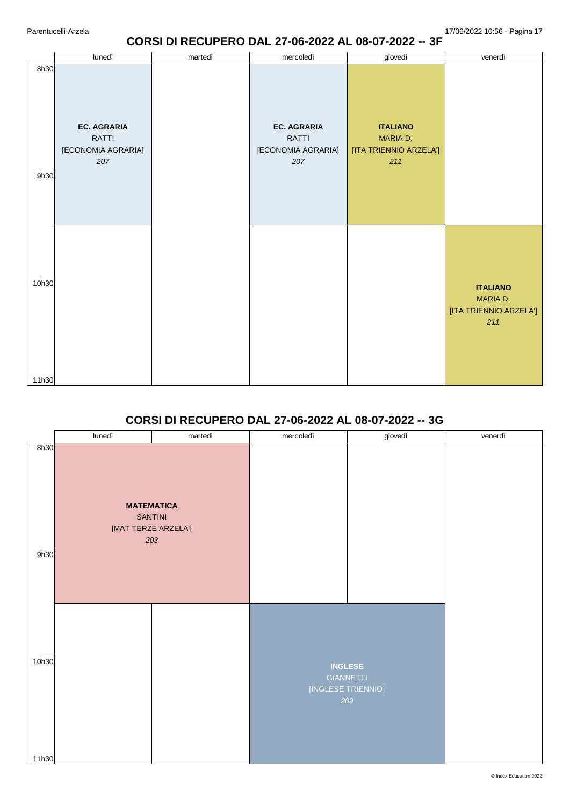#### **CORSI DI RECUPERO DAL 27-06-2022 AL 08-07-2022 -- 3F**

|                | lunedì                                                   | martedì | mercoledì                                                       | giovedì                                                      | venerdì                                                      |
|----------------|----------------------------------------------------------|---------|-----------------------------------------------------------------|--------------------------------------------------------------|--------------------------------------------------------------|
| 8h30<br>9h30   | <b>EC. AGRARIA</b><br>RATTI<br>[ECONOMIA AGRARIA]<br>207 |         | <b>EC. AGRARIA</b><br><b>RATTI</b><br>[ECONOMIA AGRARIA]<br>207 | <b>ITALIANO</b><br>MARIA D.<br>[ITA TRIENNIO ARZELA']<br>211 |                                                              |
| 10h30<br>11h30 |                                                          |         |                                                                 |                                                              | <b>ITALIANO</b><br>MARIA D.<br>[ITA TRIENNIO ARZELA']<br>211 |

## **CORSI DI RECUPERO DAL 27-06-2022 AL 08-07-2022 -- 3G**

|              | lunedì                                                            | martedì | mercoledì          | giovedì                                   | venerdì |
|--------------|-------------------------------------------------------------------|---------|--------------------|-------------------------------------------|---------|
| 8h30<br>9h30 | <b>MATEMATICA</b><br><b>SANTINI</b><br>[MAT TERZE ARZELA']<br>203 |         |                    |                                           |         |
| 10h30        |                                                                   |         | [INGLESE TRIENNIO] | <b>INGLESE</b><br><b>GIANNETTI</b><br>209 |         |
| 11h30        |                                                                   |         |                    |                                           |         |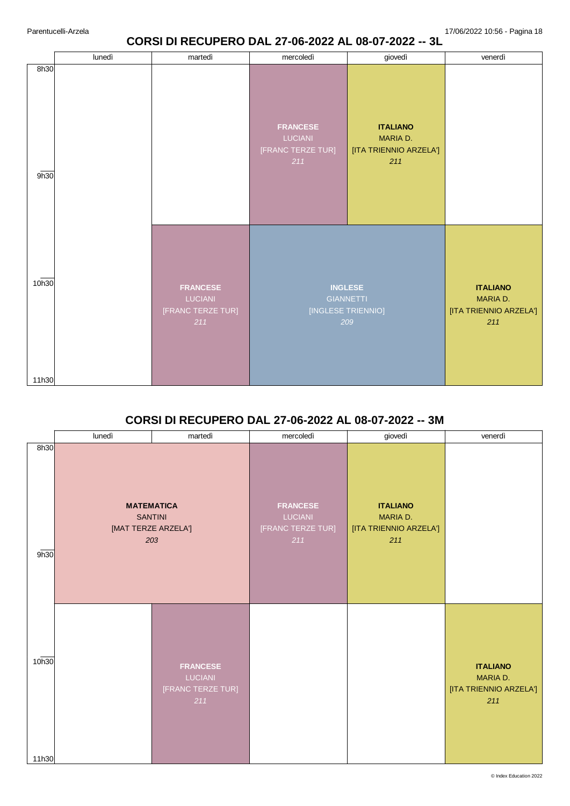## **CORSI DI RECUPERO DAL 27-06-2022 AL 08-07-2022 -- 3L**

|                | lunedì | martedì                                                       | mercoledì                                              | giovedì                                                         | venerdì                                                      |
|----------------|--------|---------------------------------------------------------------|--------------------------------------------------------|-----------------------------------------------------------------|--------------------------------------------------------------|
| 8h30<br>9h30   |        |                                                               | <b>FRANCESE</b><br>LUCIANI<br>[FRANC TERZE TUR]<br>211 | <b>ITALIANO</b><br>MARIA D.<br>[ITA TRIENNIO ARZELA']<br>211    |                                                              |
| 10h30<br>11h30 |        | <b>FRANCESE</b><br><b>LUCIANI</b><br>[FRANC TERZE TUR]<br>211 |                                                        | <b>INGLESE</b><br><b>GIANNETTI</b><br>[INGLESE TRIENNIO]<br>209 | <b>ITALIANO</b><br>MARIA D.<br>[ITA TRIENNIO ARZELA']<br>211 |

## **CORSI DI RECUPERO DAL 27-06-2022 AL 08-07-2022 -- 3M**

|                | lunedì                                                            | martedì                                                       | mercoledì                                              | giovedì                                                      | venerdì                                                      |
|----------------|-------------------------------------------------------------------|---------------------------------------------------------------|--------------------------------------------------------|--------------------------------------------------------------|--------------------------------------------------------------|
| 8h30<br>9h30   | <b>MATEMATICA</b><br><b>SANTINI</b><br>[MAT TERZE ARZELA']<br>203 |                                                               | <b>FRANCESE</b><br>LUCIANI<br>[FRANC TERZE TUR]<br>211 | <b>ITALIANO</b><br>MARIA D.<br>[ITA TRIENNIO ARZELA']<br>211 |                                                              |
| 10h30<br>11h30 |                                                                   | <b>FRANCESE</b><br><b>LUCIANI</b><br>[FRANC TERZE TUR]<br>211 |                                                        |                                                              | <b>ITALIANO</b><br>MARIA D.<br>[ITA TRIENNIO ARZELA']<br>211 |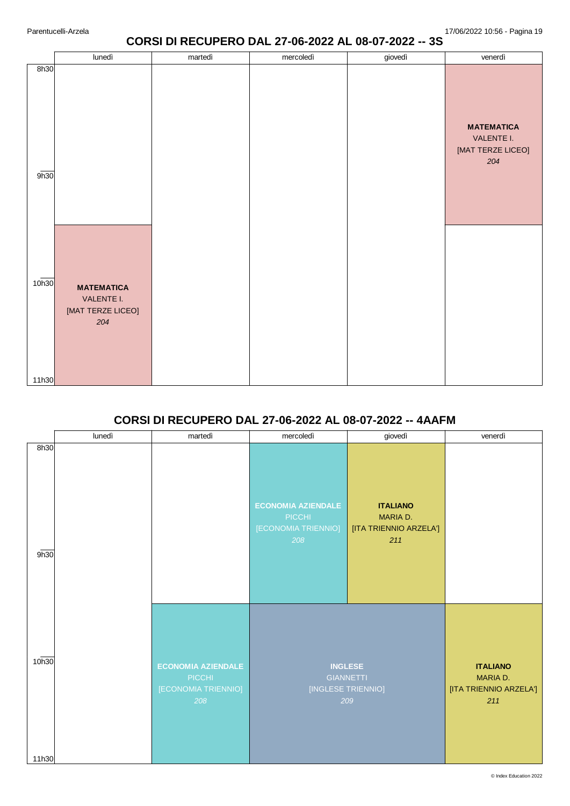#### **CORSI DI RECUPERO DAL 27-06-2022 AL 08-07-2022 -- 3S**

| 8h30<br><b>MATEMATICA</b><br>VALENTE I.<br>[MAT TERZE LICEO]<br>204<br>9h30<br>10h30<br><b>MATEMATICA</b><br>VALENTE I.<br>[MAT TERZE LICEO]<br>204 | lunedì | martedì | mercoledì | giovedì | venerdì |
|-----------------------------------------------------------------------------------------------------------------------------------------------------|--------|---------|-----------|---------|---------|
|                                                                                                                                                     |        |         |           |         |         |
| 11h30                                                                                                                                               |        |         |           |         |         |

# **CORSI DI RECUPERO DAL 27-06-2022 AL 08-07-2022 -- 4AAFM**

|                | lunedì | martedì                                                           | mercoledì                                                         | giovedì                                                         | venerdì                                                      |
|----------------|--------|-------------------------------------------------------------------|-------------------------------------------------------------------|-----------------------------------------------------------------|--------------------------------------------------------------|
| 8h30<br>9h30   |        |                                                                   | <b>ECONOMIA AZIENDALE</b><br>PICCHI<br>[ECONOMIA TRIENNIO]<br>208 | <b>ITALIANO</b><br>MARIA D.<br>[ITA TRIENNIO ARZELA']<br>211    |                                                              |
| 10h30<br>11h30 |        | <b>ECONOMIA AZIENDALE</b><br>PICCHI<br>[ECONOMIA TRIENNIO]<br>208 |                                                                   | <b>INGLESE</b><br><b>GIANNETTI</b><br>[INGLESE TRIENNIO]<br>209 | <b>ITALIANO</b><br>MARIA D.<br>[ITA TRIENNIO ARZELA']<br>211 |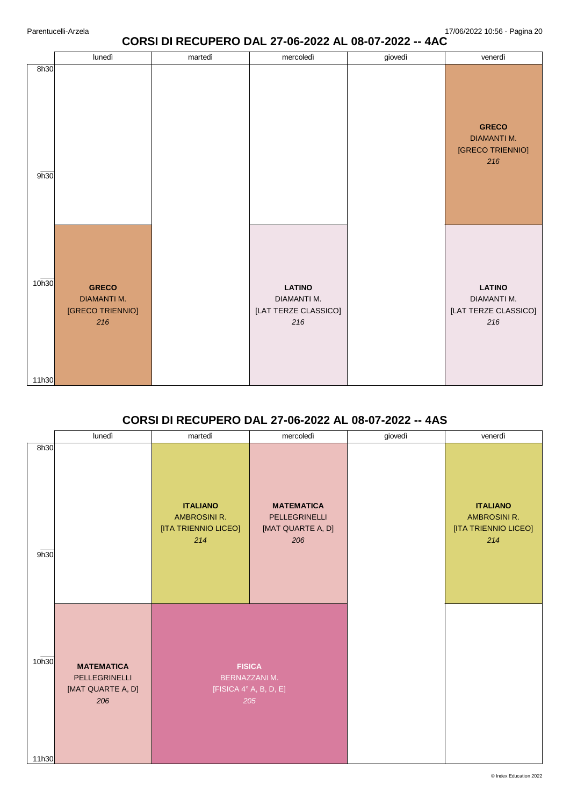## **CORSI DI RECUPERO DAL 27-06-2022 AL 08-07-2022 -- 4AC**

| 8h30<br><b>GRECO</b><br><b>DIAMANTI M.</b><br>[GRECO TRIENNIO]<br>216<br>9h30<br>10h30<br><b>GRECO</b><br><b>LATINO</b><br><b>LATINO</b><br><b>DIAMANTI M.</b><br>DIAMANTI M.<br>DIAMANTI M.<br>[GRECO TRIENNIO]<br>[LAT TERZE CLASSICO]<br>[LAT TERZE CLASSICO]<br>216<br>216<br>216 |       | lunedì | martedì | mercoledì | giovedì | venerdì |
|---------------------------------------------------------------------------------------------------------------------------------------------------------------------------------------------------------------------------------------------------------------------------------------|-------|--------|---------|-----------|---------|---------|
|                                                                                                                                                                                                                                                                                       |       |        |         |           |         |         |
|                                                                                                                                                                                                                                                                                       | 11h30 |        |         |           |         |         |

# **CORSI DI RECUPERO DAL 27-06-2022 AL 08-07-2022 -- 4AS**

|                | lunedì                                                         | martedì                                                                | mercoledì                                                      | giovedì | venerdì                                                        |
|----------------|----------------------------------------------------------------|------------------------------------------------------------------------|----------------------------------------------------------------|---------|----------------------------------------------------------------|
| 8h30<br>9h30   |                                                                | <b>ITALIANO</b><br>AMBROSINI R.<br>[ITA TRIENNIO LICEO]<br>214         | <b>MATEMATICA</b><br>PELLEGRINELLI<br>[MAT QUARTE A, D]<br>206 |         | <b>ITALIANO</b><br>AMBROSINI R.<br>[ITA TRIENNIO LICEO]<br>214 |
| 10h30<br>11h30 | <b>MATEMATICA</b><br>PELLEGRINELLI<br>[MAT QUARTE A, D]<br>206 | <b>FISICA</b><br><b>BERNAZZANI M.</b><br>[FISICA 4° A, B, D, E]<br>205 |                                                                |         |                                                                |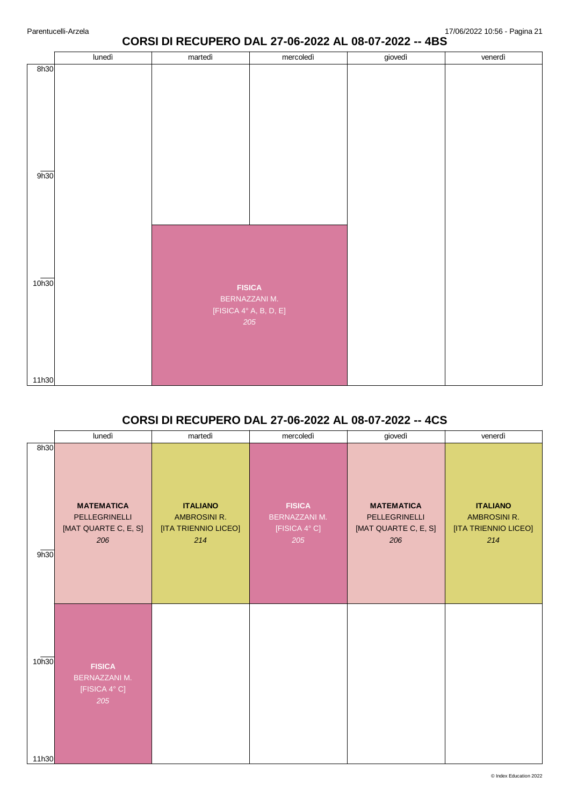## **CORSI DI RECUPERO DAL 27-06-2022 AL 08-07-2022 -- 4BS**

|                   | lunedì | martedì                                 | mercoledì            | giovedì | venerdì |
|-------------------|--------|-----------------------------------------|----------------------|---------|---------|
| 8h30              |        |                                         |                      |         |         |
| 9h30              |        |                                         |                      |         |         |
| 10 <sub>h30</sub> |        | <b>FISICA</b><br>[FISICA 4° A, B, D, E] | BERNAZZANI M.<br>205 |         |         |
| 11h30             |        |                                         |                      |         |         |
|                   |        |                                         |                      |         |         |

## **CORSI DI RECUPERO DAL 27-06-2022 AL 08-07-2022 -- 4CS**

|                | lunedì                                                            | martedì                                                        | mercoledì                                                     | giovedì                                                           | venerdì                                                               |
|----------------|-------------------------------------------------------------------|----------------------------------------------------------------|---------------------------------------------------------------|-------------------------------------------------------------------|-----------------------------------------------------------------------|
| 8h30<br>9h30   | <b>MATEMATICA</b><br>PELLEGRINELLI<br>[MAT QUARTE C, E, S]<br>206 | <b>ITALIANO</b><br>AMBROSINI R.<br>[ITA TRIENNIO LICEO]<br>214 | <b>FISICA</b><br><b>BERNAZZANI M.</b><br>[FISICA 4° C]<br>205 | <b>MATEMATICA</b><br>PELLEGRINELLI<br>[MAT QUARTE C, E, S]<br>206 | <b>ITALIANO</b><br><b>AMBROSINI R.</b><br>[ITA TRIENNIO LICEO]<br>214 |
| 10h30<br>11h30 | <b>FISICA</b><br><b>BERNAZZANI M.</b><br>[FISICA 4° C]<br>205     |                                                                |                                                               |                                                                   |                                                                       |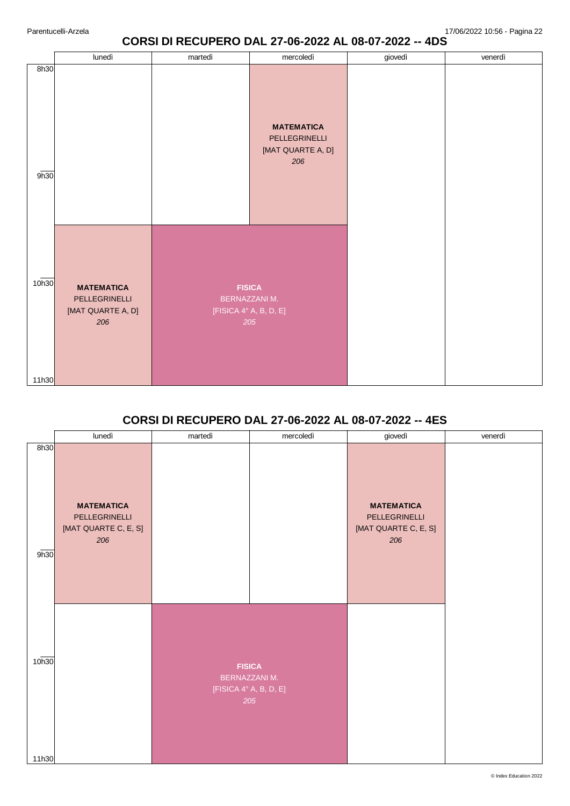## **CORSI DI RECUPERO DAL 27-06-2022 AL 08-07-2022 -- 4DS**

|                | lunedì                                                         | martedì                                                         | mercoledì                                                      | giovedì | venerdì |
|----------------|----------------------------------------------------------------|-----------------------------------------------------------------|----------------------------------------------------------------|---------|---------|
| 8h30<br>9h30   |                                                                |                                                                 | <b>MATEMATICA</b><br>PELLEGRINELLI<br>[MAT QUARTE A, D]<br>206 |         |         |
| 10h30<br>11h30 | <b>MATEMATICA</b><br>PELLEGRINELLI<br>[MAT QUARTE A, D]<br>206 | <b>FISICA</b><br>BERNAZZANI M.<br>[FISICA 4° A, B, D, E]<br>205 |                                                                |         |         |

# **CORSI DI RECUPERO DAL 27-06-2022 AL 08-07-2022 -- 4ES**

|                | lunedì                                                            | martedì | mercoledì                                                       | giovedì                                                           | venerdì |
|----------------|-------------------------------------------------------------------|---------|-----------------------------------------------------------------|-------------------------------------------------------------------|---------|
| 8h30<br>9h30   | <b>MATEMATICA</b><br>PELLEGRINELLI<br>[MAT QUARTE C, E, S]<br>206 |         |                                                                 | <b>MATEMATICA</b><br>PELLEGRINELLI<br>[MAT QUARTE C, E, S]<br>206 |         |
| 10h30<br>11h30 |                                                                   |         | <b>FISICA</b><br>BERNAZZANI M.<br>[FISICA 4° A, B, D, E]<br>205 |                                                                   |         |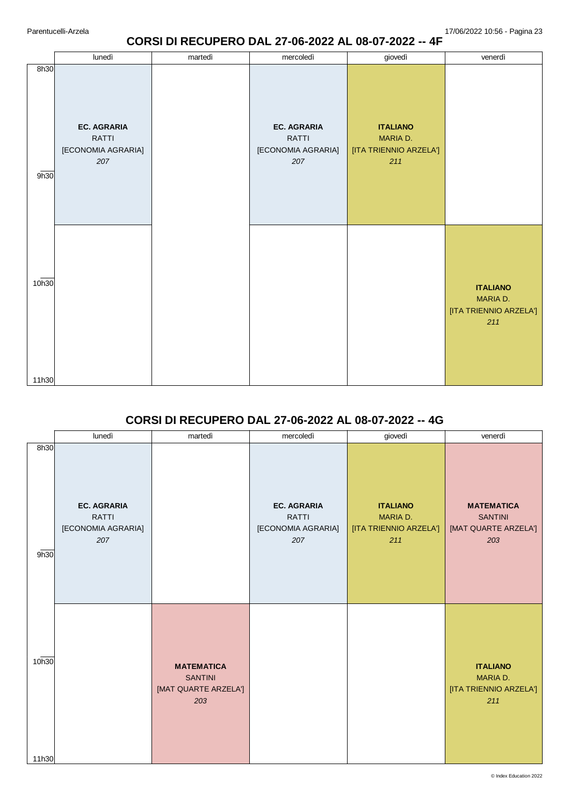#### **CORSI DI RECUPERO DAL 27-06-2022 AL 08-07-2022 -- 4F**

|                | lunedì                                                   | martedì | mercoledì                                                       | giovedì                                                      | venerdì                                                      |
|----------------|----------------------------------------------------------|---------|-----------------------------------------------------------------|--------------------------------------------------------------|--------------------------------------------------------------|
| 8h30<br>9h30   | <b>EC. AGRARIA</b><br>RATTI<br>[ECONOMIA AGRARIA]<br>207 |         | <b>EC. AGRARIA</b><br><b>RATTI</b><br>[ECONOMIA AGRARIA]<br>207 | <b>ITALIANO</b><br>MARIA D.<br>[ITA TRIENNIO ARZELA']<br>211 |                                                              |
| 10h30<br>11h30 |                                                          |         |                                                                 |                                                              | <b>ITALIANO</b><br>MARIA D.<br>[ITA TRIENNIO ARZELA']<br>211 |

# **CORSI DI RECUPERO DAL 27-06-2022 AL 08-07-2022 -- 4G**

|                | lunedì                                                   | martedì                                                            | mercoledì                                                | giovedì                                                      | venerdì                                                            |
|----------------|----------------------------------------------------------|--------------------------------------------------------------------|----------------------------------------------------------|--------------------------------------------------------------|--------------------------------------------------------------------|
| 8h30<br>9h30   | <b>EC. AGRARIA</b><br>RATTI<br>[ECONOMIA AGRARIA]<br>207 |                                                                    | <b>EC. AGRARIA</b><br>RATTI<br>[ECONOMIA AGRARIA]<br>207 | <b>ITALIANO</b><br>MARIA D.<br>[ITA TRIENNIO ARZELA']<br>211 | <b>MATEMATICA</b><br><b>SANTINI</b><br>[MAT QUARTE ARZELA']<br>203 |
| 10h30<br>11h30 |                                                          | <b>MATEMATICA</b><br><b>SANTINI</b><br>[MAT QUARTE ARZELA']<br>203 |                                                          |                                                              | <b>ITALIANO</b><br>MARIA D.<br>[ITA TRIENNIO ARZELA']<br>211       |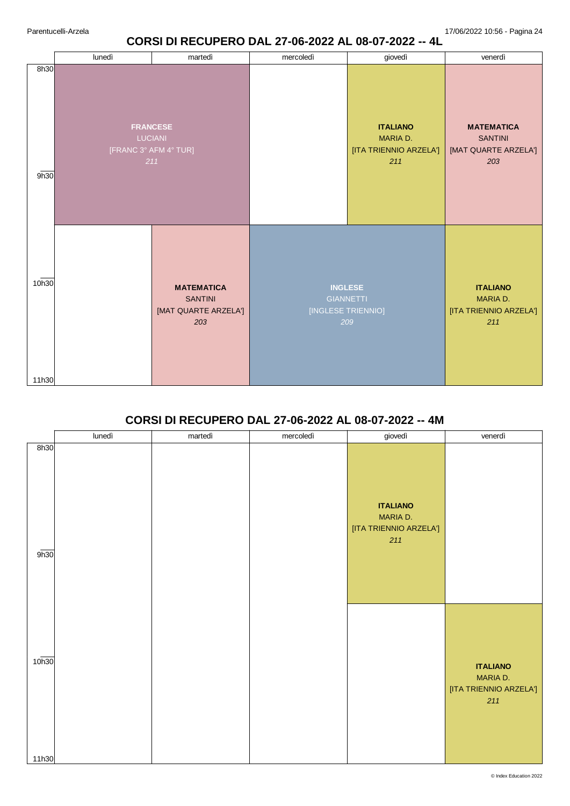### **CORSI DI RECUPERO DAL 27-06-2022 AL 08-07-2022 -- 4L**

|                | lunedì                                                            | martedì                                                            | mercoledì | giovedì                                                         | venerdì                                                            |
|----------------|-------------------------------------------------------------------|--------------------------------------------------------------------|-----------|-----------------------------------------------------------------|--------------------------------------------------------------------|
| 8h30<br>9h30   | <b>FRANCESE</b><br><b>LUCIANI</b><br>[FRANC 3° AFM 4° TUR]<br>211 |                                                                    |           | <b>ITALIANO</b><br>MARIA D.<br>[ITA TRIENNIO ARZELA']<br>211    | <b>MATEMATICA</b><br><b>SANTINI</b><br>[MAT QUARTE ARZELA']<br>203 |
| 10h30<br>11h30 |                                                                   | <b>MATEMATICA</b><br><b>SANTINI</b><br>[MAT QUARTE ARZELA']<br>203 |           | <b>INGLESE</b><br><b>GIANNETTI</b><br>[INGLESE TRIENNIO]<br>209 | <b>ITALIANO</b><br>MARIA D.<br>[ITA TRIENNIO ARZELA']<br>211       |

# **CORSI DI RECUPERO DAL 27-06-2022 AL 08-07-2022 -- 4M**

|                            | lunedì | martedì | mercoledì | giovedì                                                      | venerdì                                                      |
|----------------------------|--------|---------|-----------|--------------------------------------------------------------|--------------------------------------------------------------|
| 8h30<br>9h30               |        |         |           | <b>ITALIANO</b><br>MARIA D.<br>[ITA TRIENNIO ARZELA']<br>211 |                                                              |
| 10 <sub>h30</sub><br>11h30 |        |         |           |                                                              | <b>ITALIANO</b><br>MARIA D.<br>[ITA TRIENNIO ARZELA']<br>211 |